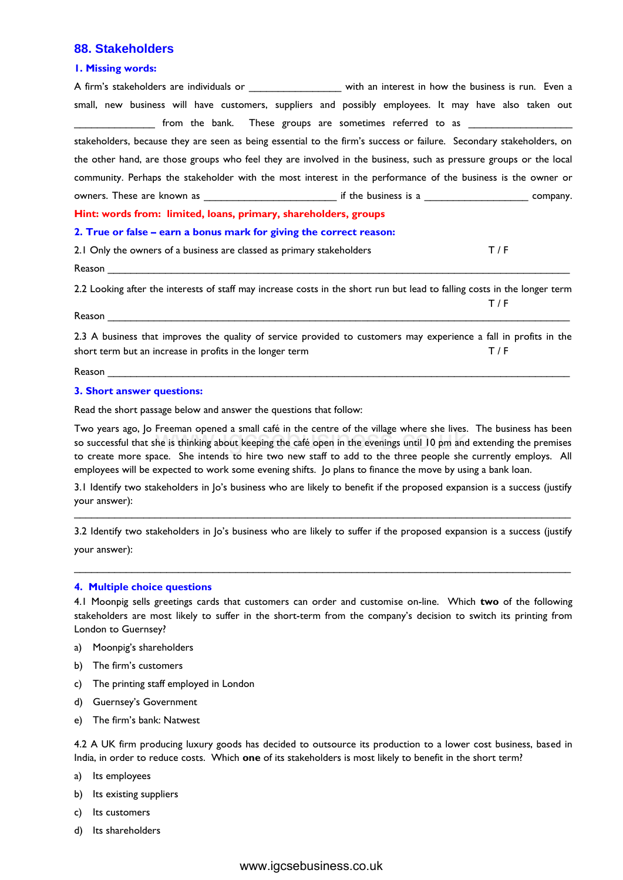# **88. Stakeholders**

### **1. Missing words:**

| A firm's stakeholders are individuals or _________________ with an interest in how the business is run. Even a            |     |
|---------------------------------------------------------------------------------------------------------------------------|-----|
| small, new business will have customers, suppliers and possibly employees. It may have also taken out                     |     |
| ________________ from the bank. These groups are sometimes referred to as _________________________                       |     |
| stakeholders, because they are seen as being essential to the firm's success or failure. Secondary stakeholders, on       |     |
| the other hand, are those groups who feel they are involved in the business, such as pressure groups or the local         |     |
| community. Perhaps the stakeholder with the most interest in the performance of the business is the owner or              |     |
| owners. These are known as __________________________________ if the business is a ___________________________ company.   |     |
| Hint: words from: limited, loans, primary, shareholders, groups                                                           |     |
| 2. True or false – earn a bonus mark for giving the correct reason:                                                       |     |
| 2.1 Only the owners of a business are classed as primary stakeholders                                                     | T/F |
|                                                                                                                           |     |
| 2.2 Looking after the interests of staff may increase costs in the short run but lead to falling costs in the longer term |     |
|                                                                                                                           | T/F |
|                                                                                                                           |     |
| 2.3 A business that improves the quality of service provided to customers may experience a fall in profits in the         |     |
| short term but an increase in profits in the longer term                                                                  | T/F |

Reason \_\_\_\_\_\_\_\_\_\_\_\_\_\_\_\_\_\_\_\_\_\_\_\_\_\_\_\_\_\_\_\_\_\_\_\_\_\_\_\_\_\_\_\_\_\_\_\_\_\_\_\_\_\_\_\_\_\_\_\_\_\_\_\_\_\_\_\_\_\_\_\_\_\_\_\_\_\_\_\_

#### **3. Short answer questions:**

Read the short passage below and answer the questions that follow:

Two years ago, Jo Freeman opened a small café in the centre of the village where she lives. The business has been so successful that she is thinking about keeping the café open in the evenings until 10 pm and extending the premises to create more space. She intends to hire two new staff to add to the three people she currently employs. All employees will be expected to work some evening shifts. Jo plans to finance the move by using a bank loan. Tremian "opered a sinal" care in the centre of the ventre sine were sine twee the is thinking about keeping the café open in the veenings until 10 pm and<br>the is thinking about keeping the café open in the veenings until 10

3.1 Identify two stakeholders in Jo's business who are likely to benefit if the proposed expansion is a success (justify your answer): \_\_\_\_\_\_\_\_\_\_\_\_\_\_\_\_\_\_\_\_\_\_\_\_\_\_\_\_\_\_\_\_\_\_\_\_\_\_\_\_\_\_\_\_\_\_\_\_\_\_\_\_\_\_\_\_\_\_\_\_\_\_\_\_\_\_\_\_\_\_\_\_\_\_\_\_\_\_\_\_\_\_\_\_\_\_

3.2 Identify two stakeholders in Jo's business who are likely to suffer if the proposed expansion is a success (justify your answer):

\_\_\_\_\_\_\_\_\_\_\_\_\_\_\_\_\_\_\_\_\_\_\_\_\_\_\_\_\_\_\_\_\_\_\_\_\_\_\_\_\_\_\_\_\_\_\_\_\_\_\_\_\_\_\_\_\_\_\_\_\_\_\_\_\_\_\_\_\_\_\_\_\_\_\_\_\_\_\_\_\_\_\_\_\_\_

## **4. Multiple choice questions**

4.1 Moonpig sells greetings cards that customers can order and customise on-line. Which **two** of the following stakeholders are most likely to suffer in the short-term from the company's decision to switch its printing from London to Guernsey?

- a) Moonpig's shareholders
- b) The firm's customers
- c) The printing staff employed in London
- d) Guernsey's Government
- e) The firm's bank: Natwest

4.2 A UK firm producing luxury goods has decided to outsource its production to a lower cost business, based in India, in order to reduce costs. Which **one** of its stakeholders is most likely to benefit in the short term?

- a) Its employees
- b) Its existing suppliers
- c) Its customers
- d) Its shareholders